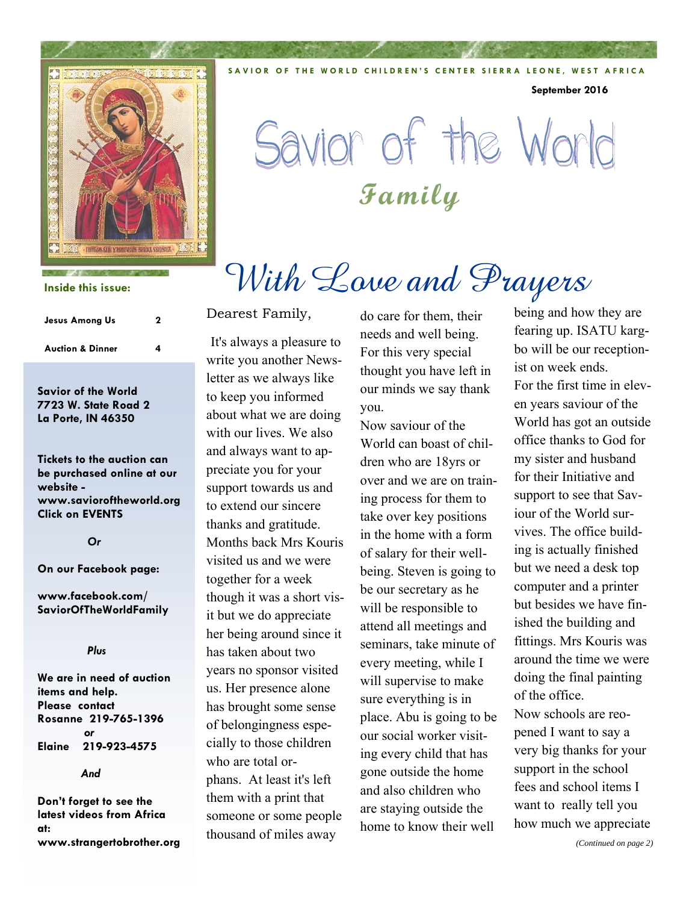

**Inside this issue:**

| <b>Jesus Among Us</b>       | 2 |
|-----------------------------|---|
| <b>Auction &amp; Dinner</b> | 4 |

**Savior of the World 7723 W. State Road 2 La Porte, IN 46350** 

**Tickets to the auction can be purchased online at our website www.savioroftheworld.org Click on EVENTS** 

 *Or* 

**On our Facebook page:** 

**www.facebook.com/ SaviorOfTheWorldFamily** 

#### *Plus*

**We are in need of auction items and help. Please contact Rosanne 219-765-1396** *or* **Elaine 219-923-4575** 

 *And* 

**Don't forget to see the latest videos from Africa at: www.strangertobrother.org** 

#### Dearest Family,

It's always a pleasure to write you another Newsletter as we always like to keep you informed about what we are doing with our lives. We also and always want to appreciate you for your support towards us and to extend our sincere thanks and gratitude. Months back Mrs Kouris visited us and we were together for a week though it was a short visit but we do appreciate her being around since it has taken about two years no sponsor visited us. Her presence alone has brought some sense of belongingness especially to those children who are total orphans. At least it's left them with a print that someone or some people thousand of miles away

do care for them, their needs and well being. For this very special thought you have left in our minds we say thank you.

**SAVIOR OF THE WORLD CHILDREN'S CENTER SIERRA LEONE, WEST AFRICA** 

Savior of the World

With Love and Prayers

**Family** 

Now saviour of the World can boast of children who are 18yrs or over and we are on training process for them to take over key positions in the home with a form of salary for their wellbeing. Steven is going to be our secretary as he will be responsible to attend all meetings and seminars, take minute of every meeting, while I will supervise to make sure everything is in place. Abu is going to be our social worker visiting every child that has gone outside the home and also children who are staying outside the home to know their well

being and how they are fearing up. ISATU kargbo will be our receptionist on week ends. For the first time in eleven years saviour of the World has got an outside office thanks to God for my sister and husband for their Initiative and support to see that Saviour of the World survives. The office building is actually finished but we need a desk top computer and a printer but besides we have finished the building and fittings. Mrs Kouris was around the time we were doing the final painting of the office. Now schools are reopened I want to say a very big thanks for your support in the school fees and school items I want to really tell you how much we appreciate

**September 2016**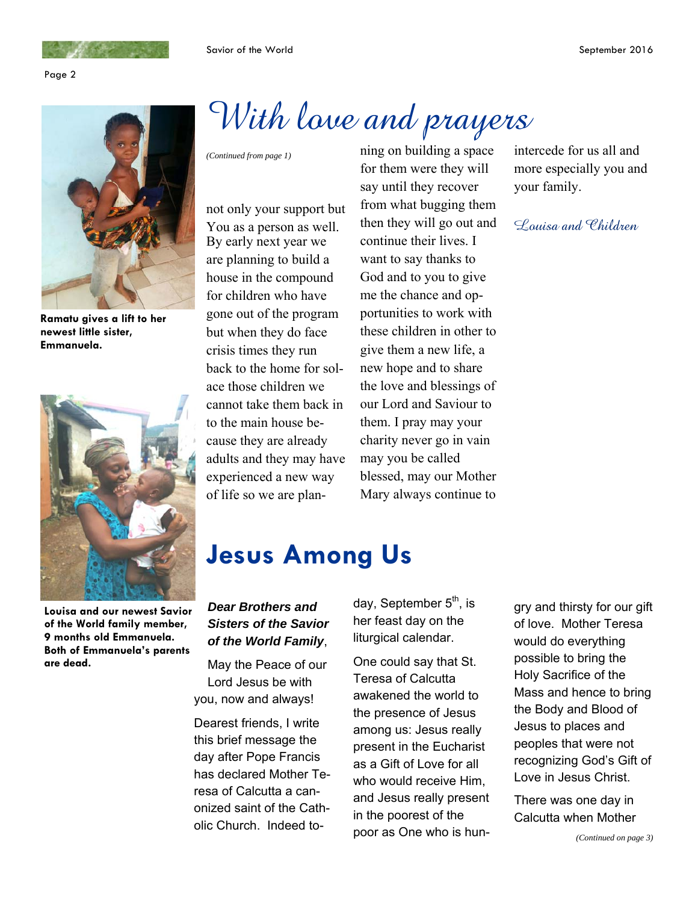Page 2



**Ramatu gives a lift to her newest little sister, Emmanuela.** 



**Louisa and our newest Savior of the World family member, 9 months old Emmanuela. Both of Emmanuela's parents are dead.** 

# With love and prayers

not only your support but You as a person as well. By early next year we are planning to build a house in the compound for children who have gone out of the program but when they do face crisis times they run back to the home for solace those children we cannot take them back in to the main house because they are already adults and they may have experienced a new way of life so we are plan-

*(Continued from page 1)* **ning on building a space** for them were they will say until they recover from what bugging them then they will go out and continue their lives. I want to say thanks to God and to you to give me the chance and opportunities to work with these children in other to give them a new life, a new hope and to share the love and blessings of our Lord and Saviour to them. I pray may your charity never go in vain may you be called blessed, may our Mother Mary always continue to

### intercede for us all and more especially you and your family.

### Louisa and Children

## **Jesus Among Us**

### *Dear Brothers and Sisters of the Savior of the World Family*,

May the Peace of our Lord Jesus be with you, now and always!

Dearest friends, I write this brief message the day after Pope Francis has declared Mother Teresa of Calcutta a canonized saint of the Catholic Church. Indeed today, September 5<sup>th</sup>, is her feast day on the liturgical calendar.

One could say that St. Teresa of Calcutta awakened the world to the presence of Jesus among us: Jesus really present in the Eucharist as a Gift of Love for all who would receive Him, and Jesus really present in the poorest of the poor as One who is hungry and thirsty for our gift of love. Mother Teresa would do everything possible to bring the Holy Sacrifice of the Mass and hence to bring the Body and Blood of Jesus to places and peoples that were not recognizing God's Gift of Love in Jesus Christ.

There was one day in Calcutta when Mother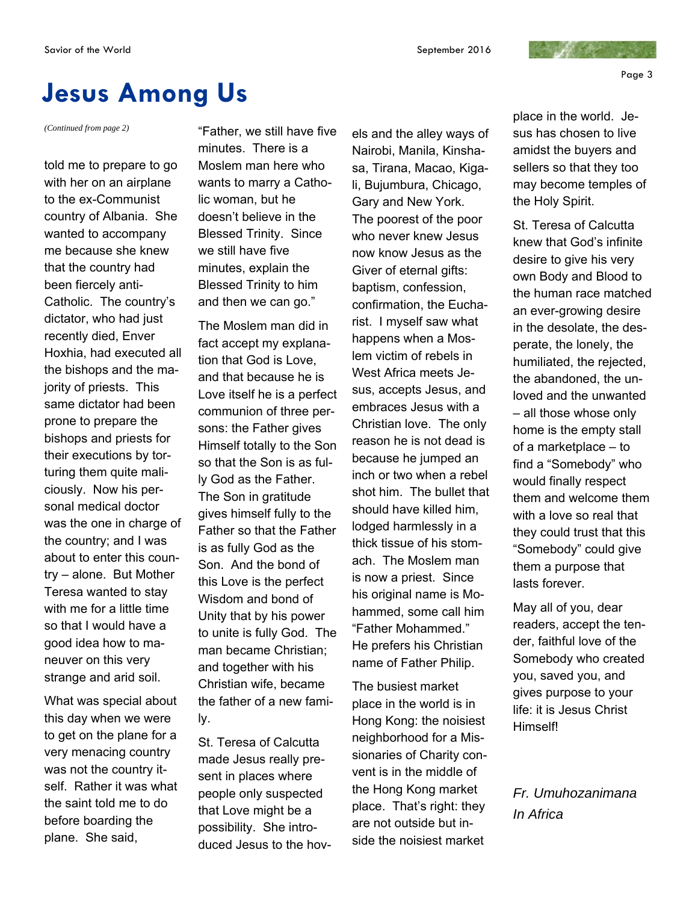Page 3

## **Jesus Among Us**

*(Continued from page 2)* 

told me to prepare to go with her on an airplane to the ex-Communist country of Albania. She wanted to accompany me because she knew that the country had been fiercely anti-Catholic. The country's dictator, who had just recently died, Enver Hoxhia, had executed all the bishops and the majority of priests. This same dictator had been prone to prepare the bishops and priests for their executions by torturing them quite maliciously. Now his personal medical doctor was the one in charge of the country; and I was about to enter this country – alone. But Mother Teresa wanted to stay with me for a little time so that I would have a good idea how to maneuver on this very strange and arid soil.

What was special about this day when we were to get on the plane for a very menacing country was not the country itself. Rather it was what the saint told me to do before boarding the plane. She said,

"Father, we still have five minutes. There is a Moslem man here who wants to marry a Catholic woman, but he doesn't believe in the Blessed Trinity. Since we still have five minutes, explain the Blessed Trinity to him and then we can go."

The Moslem man did in fact accept my explanation that God is Love, and that because he is Love itself he is a perfect communion of three persons: the Father gives Himself totally to the Son so that the Son is as fully God as the Father. The Son in gratitude gives himself fully to the Father so that the Father is as fully God as the Son. And the bond of this Love is the perfect Wisdom and bond of Unity that by his power to unite is fully God. The man became Christian; and together with his Christian wife, became the father of a new family.

St. Teresa of Calcutta made Jesus really present in places where people only suspected that Love might be a possibility. She introduced Jesus to the hovels and the alley ways of Nairobi, Manila, Kinshasa, Tirana, Macao, Kigali, Bujumbura, Chicago, Gary and New York. The poorest of the poor who never knew Jesus now know Jesus as the Giver of eternal gifts: baptism, confession, confirmation, the Eucharist. I myself saw what happens when a Moslem victim of rebels in West Africa meets Jesus, accepts Jesus, and embraces Jesus with a Christian love. The only reason he is not dead is because he jumped an inch or two when a rebel shot him. The bullet that should have killed him, lodged harmlessly in a thick tissue of his stomach. The Moslem man is now a priest. Since his original name is Mohammed, some call him "Father Mohammed." He prefers his Christian name of Father Philip.

The busiest market place in the world is in Hong Kong: the noisiest neighborhood for a Missionaries of Charity convent is in the middle of the Hong Kong market place. That's right: they are not outside but inside the noisiest market

place in the world. Jesus has chosen to live amidst the buyers and sellers so that they too may become temples of the Holy Spirit.

and the contract

St. Teresa of Calcutta knew that God's infinite desire to give his very own Body and Blood to the human race matched an ever-growing desire in the desolate, the desperate, the lonely, the humiliated, the rejected, the abandoned, the unloved and the unwanted – all those whose only home is the empty stall of a marketplace – to find a "Somebody" who would finally respect them and welcome them with a love so real that they could trust that this "Somebody" could give them a purpose that lasts forever.

May all of you, dear readers, accept the tender, faithful love of the Somebody who created you, saved you, and gives purpose to your life: it is Jesus Christ Himself!

*Fr. Umuhozanimana In Africa*